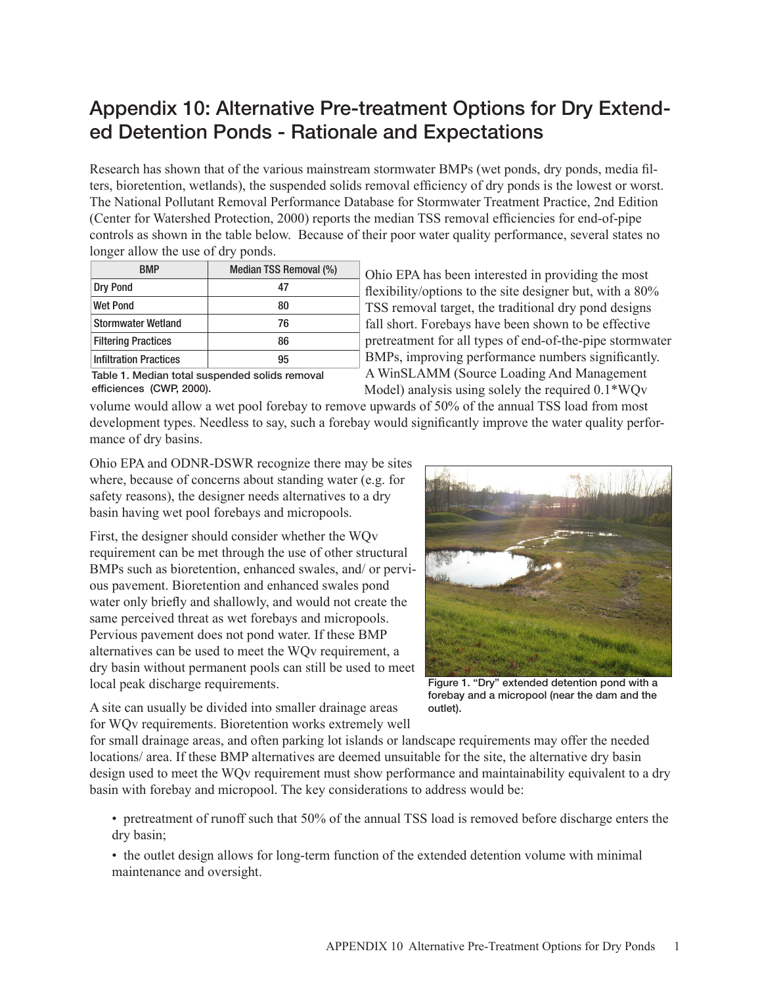# Appendix 10: Alternative Pre-treatment Options for Dry Extended Detention Ponds - Rationale and Expectations

Research has shown that of the various mainstream stormwater BMPs (wet ponds, dry ponds, media filters, bioretention, wetlands), the suspended solids removal efficiency of dry ponds is the lowest or worst. The National Pollutant Removal Performance Database for Stormwater Treatment Practice, 2nd Edition (Center for Watershed Protection, 2000) reports the median TSS removal efficiencies for end-of-pipe controls as shown in the table below. Because of their poor water quality performance, several states no longer allow the use of dry ponds.

| RMP                           | Median TSS Removal (%) |
|-------------------------------|------------------------|
| Dry Pond                      | 47                     |
| <b>Wet Pond</b>               | 80                     |
| <b>Stormwater Wetland</b>     | 76                     |
| <b>Filtering Practices</b>    | 86                     |
| <b>Infiltration Practices</b> | 95                     |

Ohio EPA has been interested in providing the most flexibility/options to the site designer but, with a 80% TSS removal target, the traditional dry pond designs fall short. Forebays have been shown to be effective pretreatment for all types of end-of-the-pipe stormwater BMPs, improving performance numbers significantly. A WinSLAMM (Source Loading And Management Model) analysis using solely the required 0.1\*WQv

Table 1. Median total suspended solids removal efficiences (CWP, 2000).

volume would allow a wet pool forebay to remove upwards of 50% of the annual TSS load from most development types. Needless to say, such a forebay would significantly improve the water quality performance of dry basins.

Ohio EPA and ODNR-DSWR recognize there may be sites where, because of concerns about standing water (e.g. for safety reasons), the designer needs alternatives to a dry basin having wet pool forebays and micropools.

First, the designer should consider whether the WQv requirement can be met through the use of other structural BMPs such as bioretention, enhanced swales, and/ or pervious pavement. Bioretention and enhanced swales pond water only briefly and shallowly, and would not create the same perceived threat as wet forebays and micropools. Pervious pavement does not pond water. If these BMP alternatives can be used to meet the WQv requirement, a dry basin without permanent pools can still be used to meet local peak discharge requirements.



Figure 1. "Dry" extended detention pond with a forebay and a micropool (near the dam and the outlet).

A site can usually be divided into smaller drainage areas for WQv requirements. Bioretention works extremely well

for small drainage areas, and often parking lot islands or landscape requirements may offer the needed locations/ area. If these BMP alternatives are deemed unsuitable for the site, the alternative dry basin design used to meet the WQv requirement must show performance and maintainability equivalent to a dry basin with forebay and micropool. The key considerations to address would be:

• pretreatment of runoff such that 50% of the annual TSS load is removed before discharge enters the dry basin;

• the outlet design allows for long-term function of the extended detention volume with minimal maintenance and oversight.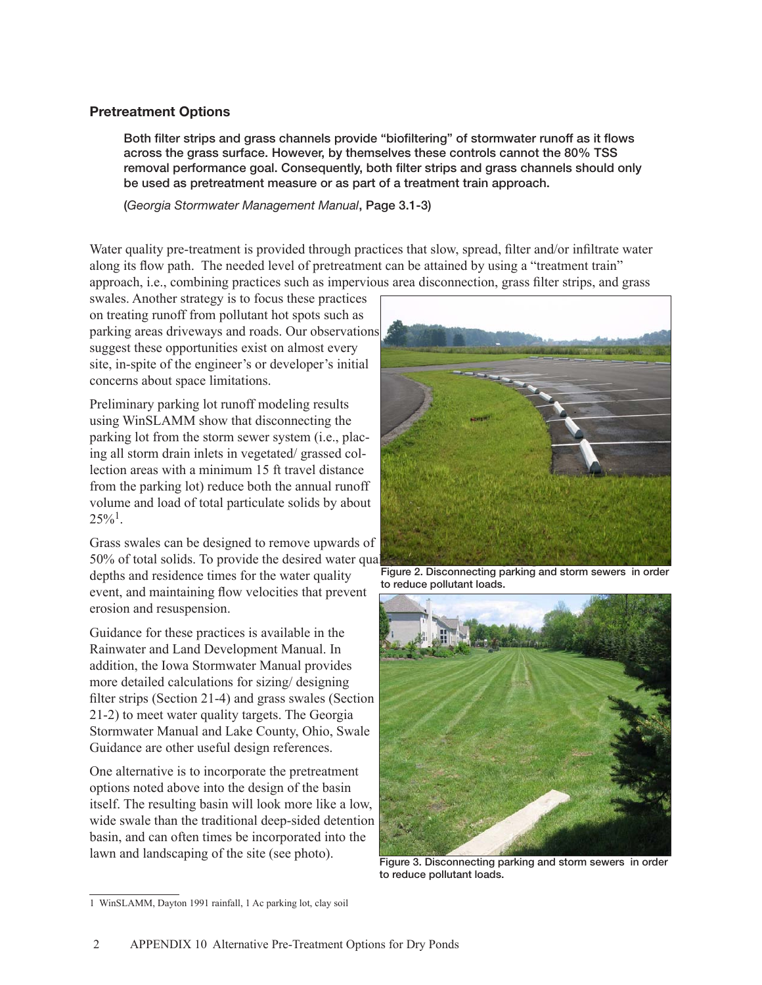## Pretreatment Options

Both filter strips and grass channels provide "biofiltering" of stormwater runoff as it flows across the grass surface. However, by themselves these controls cannot the 80% TSS removal performance goal. Consequently, both filter strips and grass channels should only be used as pretreatment measure or as part of a treatment train approach.

(*Georgia Stormwater Management Manual*, Page 3.1-3)

Water quality pre-treatment is provided through practices that slow, spread, filter and/or infiltrate water along its flow path. The needed level of pretreatment can be attained by using a "treatment train" approach, i.e., combining practices such as impervious area disconnection, grass filter strips, and grass

swales. Another strategy is to focus these practices on treating runoff from pollutant hot spots such as parking areas driveways and roads. Our observations suggest these opportunities exist on almost every site, in-spite of the engineer's or developer's initial concerns about space limitations.

Preliminary parking lot runoff modeling results using WinSLAMM show that disconnecting the parking lot from the storm sewer system (i.e., placing all storm drain inlets in vegetated/ grassed collection areas with a minimum 15 ft travel distance from the parking lot) reduce both the annual runoff volume and load of total particulate solids by about  $25\%$ <sup>1</sup>.

Grass swales can be designed to remove upwards of 50% of total solids. To provide the desired water quality treatments, the desired water depths and residence times for the water quality event, and maintaining flow velocities that prevent erosion and resuspension.

Guidance for these practices is available in the Rainwater and Land Development Manual. In addition, the Iowa Stormwater Manual provides more detailed calculations for sizing/ designing filter strips (Section 21-4) and grass swales (Section 21-2) to meet water quality targets. The Georgia Stormwater Manual and Lake County, Ohio, Swale Guidance are other useful design references.

One alternative is to incorporate the pretreatment options noted above into the design of the basin itself. The resulting basin will look more like a low, wide swale than the traditional deep-sided detention basin, and can often times be incorporated into the lawn and landscaping of the site (see photo).



Figure 2. Disconnecting parking and storm sewers in order to reduce pollutant loads.



Figure 3. Disconnecting parking and storm sewers in order to reduce pollutant loads.

<sup>1</sup> WinSLAMM, Dayton 1991 rainfall, 1 Ac parking lot, clay soil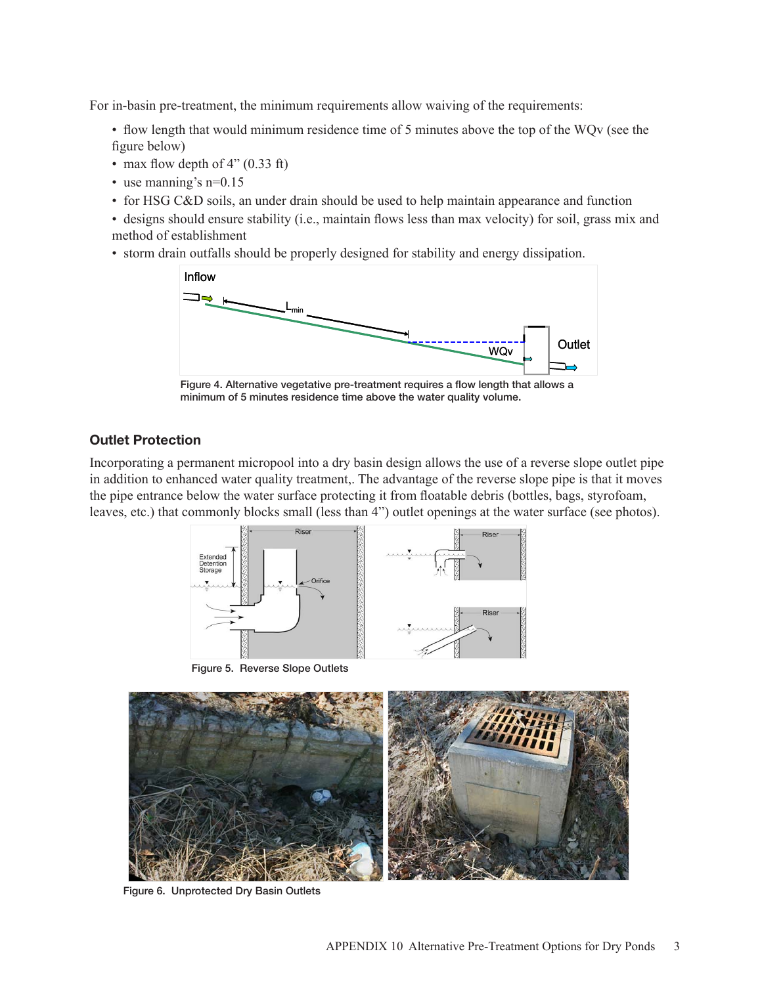For in-basin pre-treatment, the minimum requirements allow waiving of the requirements:

• flow length that would minimum residence time of 5 minutes above the top of the WQv (see the figure below)

- max flow depth of 4" (0.33 ft)
- use manning's n=0.15
- for HSG C&D soils, an under drain should be used to help maintain appearance and function
- designs should ensure stability (i.e., maintain flows less than max velocity) for soil, grass mix and method of establishment
- storm drain outfalls should be properly designed for stability and energy dissipation.



Figure 4. Alternative vegetative pre-treatment requires a flow length that allows a minimum of 5 minutes residence time above the water quality volume.

# Outlet Protection

Incorporating a permanent micropool into a dry basin design allows the use of a reverse slope outlet pipe in addition to enhanced water quality treatment,. The advantage of the reverse slope pipe is that it moves the pipe entrance below the water surface protecting it from floatable debris (bottles, bags, styrofoam, leaves, etc.) that commonly blocks small (less than 4") outlet openings at the water surface (see photos).



Figure 5. Reverse Slope Outlets



Figure 6. Unprotected Dry Basin Outlets